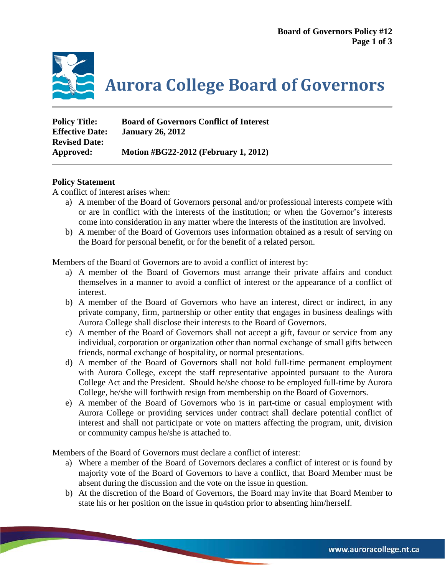

**Aurora College Board of Governors**

| <b>Policy Title:</b>   | <b>Board of Governors Conflict of Interest</b> |
|------------------------|------------------------------------------------|
| <b>Effective Date:</b> | <b>January 26, 2012</b>                        |
| <b>Revised Date:</b>   |                                                |
| Approved:              | Motion #BG22-2012 (February 1, 2012)           |

## **Policy Statement**

A conflict of interest arises when:

- a) A member of the Board of Governors personal and/or professional interests compete with or are in conflict with the interests of the institution; or when the Governor's interests come into consideration in any matter where the interests of the institution are involved.
- b) A member of the Board of Governors uses information obtained as a result of serving on the Board for personal benefit, or for the benefit of a related person.

Members of the Board of Governors are to avoid a conflict of interest by:

- a) A member of the Board of Governors must arrange their private affairs and conduct themselves in a manner to avoid a conflict of interest or the appearance of a conflict of interest.
- b) A member of the Board of Governors who have an interest, direct or indirect, in any private company, firm, partnership or other entity that engages in business dealings with Aurora College shall disclose their interests to the Board of Governors.
- c) A member of the Board of Governors shall not accept a gift, favour or service from any individual, corporation or organization other than normal exchange of small gifts between friends, normal exchange of hospitality, or normal presentations.
- d) A member of the Board of Governors shall not hold full-time permanent employment with Aurora College, except the staff representative appointed pursuant to the Aurora College Act and the President. Should he/she choose to be employed full-time by Aurora College, he/she will forthwith resign from membership on the Board of Governors.
- e) A member of the Board of Governors who is in part-time or casual employment with Aurora College or providing services under contract shall declare potential conflict of interest and shall not participate or vote on matters affecting the program, unit, division or community campus he/she is attached to.

Members of the Board of Governors must declare a conflict of interest:

- a) Where a member of the Board of Governors declares a conflict of interest or is found by majority vote of the Board of Governors to have a conflict, that Board Member must be absent during the discussion and the vote on the issue in question.
- b) At the discretion of the Board of Governors, the Board may invite that Board Member to state his or her position on the issue in qu4stion prior to absenting him/herself.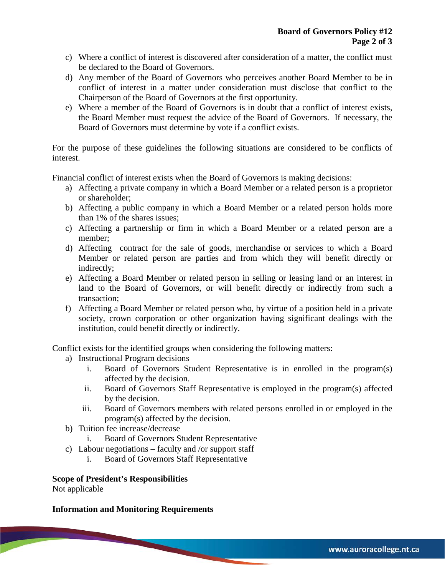- c) Where a conflict of interest is discovered after consideration of a matter, the conflict must be declared to the Board of Governors.
- d) Any member of the Board of Governors who perceives another Board Member to be in conflict of interest in a matter under consideration must disclose that conflict to the Chairperson of the Board of Governors at the first opportunity.
- e) Where a member of the Board of Governors is in doubt that a conflict of interest exists, the Board Member must request the advice of the Board of Governors. If necessary, the Board of Governors must determine by vote if a conflict exists.

For the purpose of these guidelines the following situations are considered to be conflicts of interest.

Financial conflict of interest exists when the Board of Governors is making decisions:

- a) Affecting a private company in which a Board Member or a related person is a proprietor or shareholder;
- b) Affecting a public company in which a Board Member or a related person holds more than 1% of the shares issues;
- c) Affecting a partnership or firm in which a Board Member or a related person are a member;
- d) Affecting contract for the sale of goods, merchandise or services to which a Board Member or related person are parties and from which they will benefit directly or indirectly;
- e) Affecting a Board Member or related person in selling or leasing land or an interest in land to the Board of Governors, or will benefit directly or indirectly from such a transaction;
- f) Affecting a Board Member or related person who, by virtue of a position held in a private society, crown corporation or other organization having significant dealings with the institution, could benefit directly or indirectly.

Conflict exists for the identified groups when considering the following matters:

- a) Instructional Program decisions
	- i. Board of Governors Student Representative is in enrolled in the program(s) affected by the decision.
	- ii. Board of Governors Staff Representative is employed in the program(s) affected by the decision.
	- iii. Board of Governors members with related persons enrolled in or employed in the program(s) affected by the decision.
- b) Tuition fee increase/decrease
	- i. Board of Governors Student Representative
- c) Labour negotiations faculty and /or support staff
	- i. Board of Governors Staff Representative

## **Scope of President's Responsibilities**

Not applicable

## **Information and Monitoring Requirements**